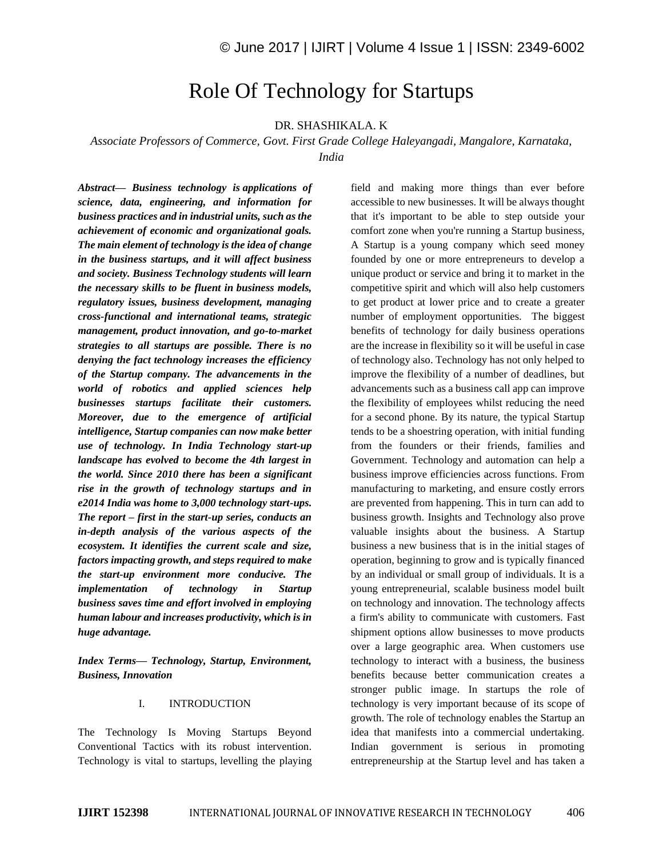# Role Of Technology for Startups

## DR. SHASHIKALA. K

## *Associate Professors of Commerce, Govt. First Grade College Haleyangadi, Mangalore, Karnataka, India*

*Abstract— Business technology is applications of science, data, engineering, and information for business practices and in industrial units, such as the achievement of economic and organizational goals. The main element of technology is the idea of change in the business startups, and it will affect business and society. Business Technology students will learn the necessary skills to be fluent in business models, regulatory issues, business development, managing cross-functional and international teams, strategic management, product innovation, and go-to-market strategies to all startups are possible. There is no denying the fact technology increases the efficiency of the Startup company. The advancements in the world of robotics and applied sciences help businesses startups facilitate their customers. Moreover, due to the emergence of artificial intelligence, Startup companies can now make better use of technology. In India Technology start-up landscape has evolved to become the 4th largest in the world. Since 2010 there has been a significant rise in the growth of technology startups and in e2014 India was home to 3,000 technology start-ups. The report – first in the start-up series, conducts an in-depth analysis of the various aspects of the ecosystem. It identifies the current scale and size, factors impacting growth, and steps required to make the start-up environment more conducive. The implementation of technology in Startup business saves time and effort involved in employing human labour and increases productivity, which is in huge advantage.*

*Index Terms— Technology, Startup, Environment, Business, Innovation*

#### I. INTRODUCTION

The Technology Is Moving Startups Beyond Conventional Tactics with its robust intervention. Technology is vital to startups, levelling the playing field and making more things than ever before accessible to new businesses. It will be always thought that it's important to be able to step outside your comfort zone when you're running a Startup business, A Startup is a young company which seed money founded by one or more entrepreneurs to develop a unique product or service and bring it to market in the competitive spirit and which will also help customers to get product at lower price and to create a greater number of employment opportunities. The biggest benefits of technology for daily business operations are the increase in flexibility so it will be useful in case of technology also. Technology has not only helped to improve the flexibility of a number of deadlines, but advancements such as a business call app can improve the flexibility of employees whilst reducing the need for a second phone. By its nature, the typical Startup tends to be a shoestring operation, with initial funding from the founders or their friends, families and Government. Technology and automation can help a business improve efficiencies across functions. From manufacturing to marketing, and ensure costly errors are prevented from happening. This in turn can add to business growth. Insights and Technology also prove valuable insights about the business. A Startup business a new business that is in the initial stages of operation, beginning to grow and is typically financed by an individual or small group of individuals. It is a young entrepreneurial, scalable business model built on technology and innovation. The technology affects a firm's ability to communicate with customers. Fast shipment options allow businesses to move products over a large geographic area. When customers use technology to interact with a business, the business benefits because better communication creates a stronger public image. In startups the role of technology is very important because of its scope of growth. The role of technology enables the Startup an idea that manifests into a commercial undertaking. Indian government is serious in promoting entrepreneurship at the Startup level and has taken a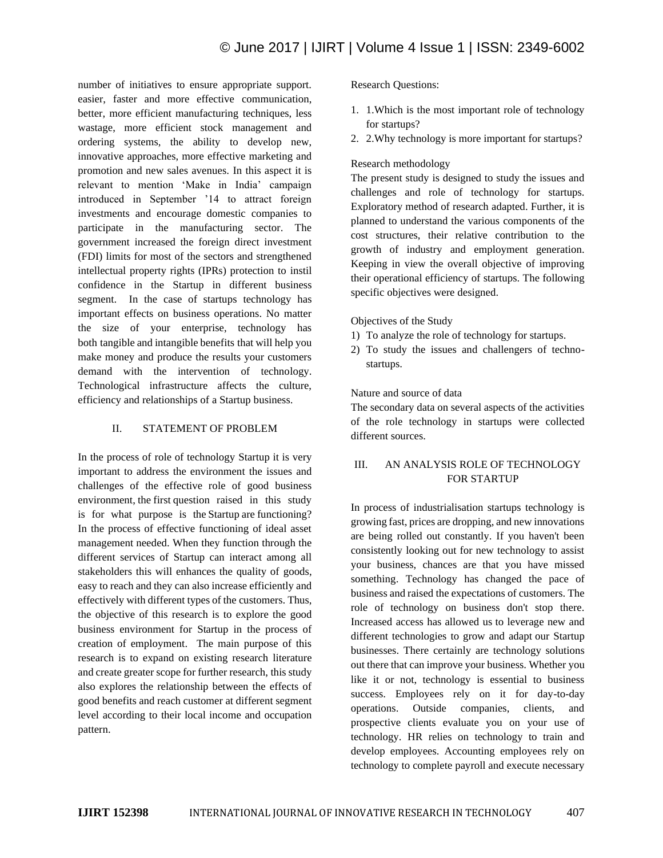number of initiatives to ensure appropriate support. easier, faster and more effective communication, better, more efficient manufacturing techniques, less wastage, more efficient stock management and ordering systems, the ability to develop new, innovative approaches, more effective marketing and promotion and new sales avenues. In this aspect it is relevant to mention 'Make in India' campaign introduced in September '14 to attract foreign investments and encourage domestic companies to participate in the manufacturing sector. The government increased the foreign direct investment (FDI) limits for most of the sectors and strengthened intellectual property rights (IPRs) protection to instil confidence in the Startup in different business segment. In the case of startups technology has important effects on business operations. No matter the size of your enterprise, technology has both tangible and intangible benefits that will help you make money and produce the results your customers demand with the intervention of technology. Technological infrastructure affects the culture, efficiency and relationships of a Startup business.

## II. STATEMENT OF PROBLEM

In the process of role of technology Startup it is very important to address the environment the issues and challenges of the effective role of good business environment, the first question raised in this study is for what purpose is the Startup are functioning? In the process of effective functioning of ideal asset management needed. When they function through the different services of Startup can interact among all stakeholders this will enhances the quality of goods, easy to reach and they can also increase efficiently and effectively with different types of the customers. Thus, the objective of this research is to explore the good business environment for Startup in the process of creation of employment. The main purpose of this research is to expand on existing research literature and create greater scope for further research, this study also explores the relationship between the effects of good benefits and reach customer at different segment level according to their local income and occupation pattern.

Research Questions:

- 1. 1.Which is the most important role of technology for startups?
- 2. 2.Why technology is more important for startups?

## Research methodology

The present study is designed to study the issues and challenges and role of technology for startups. Exploratory method of research adapted. Further, it is planned to understand the various components of the cost structures, their relative contribution to the growth of industry and employment generation. Keeping in view the overall objective of improving their operational efficiency of startups. The following specific objectives were designed.

Objectives of the Study

- 1) To analyze the role of technology for startups.
- 2) To study the issues and challengers of technostartups.

## Nature and source of data

The secondary data on several aspects of the activities of the role technology in startups were collected different sources.

# III. AN ANALYSIS ROLE OF TECHNOLOGY FOR STARTUP

In process of industrialisation startups technology is growing fast, prices are dropping, and new innovations are being rolled out constantly. If you haven't been consistently looking out for new technology to assist your business, chances are that you have missed something. Technology has changed the pace of business and raised the expectations of customers. The role of technology on business don't stop there. Increased access has allowed us to leverage new and different technologies to grow and adapt our Startup businesses. There certainly are technology solutions out there that can improve your business. Whether you like it or not, technology is essential to business success. Employees rely on it for day-to-day operations. Outside companies, clients, and prospective clients evaluate you on your use of technology. HR relies on technology to train and develop employees. Accounting employees rely on technology to complete payroll and execute necessary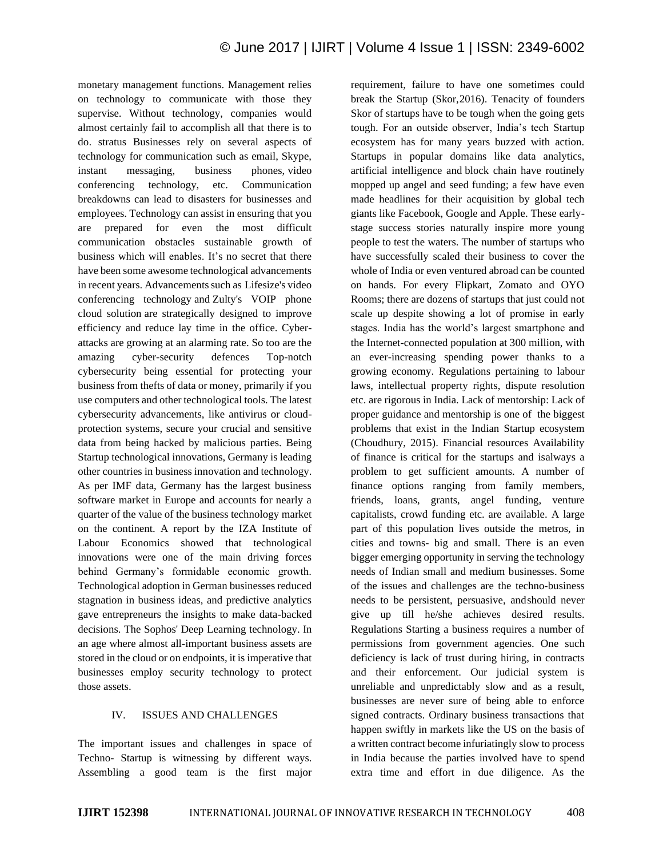monetary management functions. Management relies on technology to communicate with those they supervise. Without technology, companies would almost certainly fail to accomplish all that there is to do. stratus Businesses rely on several aspects of technology for communication such as email, Skype, instant messaging, business phones, video conferencing technology, etc. Communication breakdowns can lead to disasters for businesses and employees. Technology can assist in ensuring that you are prepared for even the most difficult communication obstacles sustainable growth of business which will enables. It's no secret that there have been some awesome technological advancements in recent years. Advancements such as Lifesize's video conferencing technology and Zulty's VOIP phone cloud solution are strategically designed to improve efficiency and reduce lay time in the office. Cyberattacks are growing at an alarming rate. So too are the amazing cyber-security defences Top-notch cybersecurity being essential for protecting your business from thefts of data or money, primarily if you use computers and other technological tools. The latest cybersecurity advancements, like antivirus or cloudprotection systems, secure your crucial and sensitive data from being hacked by malicious parties. Being Startup technological innovations, Germany is leading other countries in business innovation and technology. As per IMF data, Germany has the largest business software market in Europe and accounts for nearly a quarter of the value of the business technology market on the continent. A report by the IZA Institute of Labour Economics showed that technological innovations were one of the main driving forces behind Germany's formidable economic growth. Technological adoption in German businesses reduced stagnation in business ideas, and predictive analytics gave entrepreneurs the insights to make data-backed decisions. The Sophos' Deep Learning technology. In an age where almost all-important business assets are stored in the cloud or on endpoints, it is imperative that businesses employ security technology to protect those assets.

## IV. ISSUES AND CHALLENGES

The important issues and challenges in space of Techno- Startup is witnessing by different ways. Assembling a good team is the first major requirement, failure to have one sometimes could break the Startup (Skor,2016). Tenacity of founders Skor of startups have to be tough when the going gets tough. For an outside observer, India's tech Startup ecosystem has for many years buzzed with action. Startups in popular domains like data analytics, artificial intelligence and block chain have routinely mopped up angel and seed funding; a few have even made headlines for their acquisition by global tech giants like Facebook, Google and Apple. These earlystage success stories naturally inspire more young people to test the waters. The number of startups who have successfully scaled their business to cover the whole of India or even ventured abroad can be counted on hands. For every Flipkart, Zomato and OYO Rooms; there are dozens of startups that just could not scale up despite showing a lot of promise in early stages. India has the world's largest smartphone and the Internet-connected population at 300 million, with an ever-increasing spending power thanks to a growing economy. Regulations pertaining to labour laws, intellectual property rights, dispute resolution etc. are rigorous in India. Lack of mentorship: Lack of proper guidance and mentorship is one of the biggest problems that exist in the Indian Startup ecosystem (Choudhury, 2015). Financial resources Availability of finance is critical for the startups and isalways a problem to get sufficient amounts. A number of finance options ranging from family members, friends, loans, grants, angel funding, venture capitalists, crowd funding etc. are available. A large part of this population lives outside the metros, in cities and towns- big and small. There is an even bigger emerging opportunity in serving the technology needs of Indian small and medium businesses. Some of the issues and challenges are the techno-business needs to be persistent, persuasive, andshould never give up till he/she achieves desired results. Regulations Starting a business requires a number of permissions from government agencies. One such deficiency is lack of trust during hiring, in contracts and their enforcement. Our judicial system is unreliable and unpredictably slow and as a result, businesses are never sure of being able to enforce signed contracts. Ordinary business transactions that happen swiftly in markets like the US on the basis of a written contract become infuriatingly slow to process in India because the parties involved have to spend extra time and effort in due diligence. As the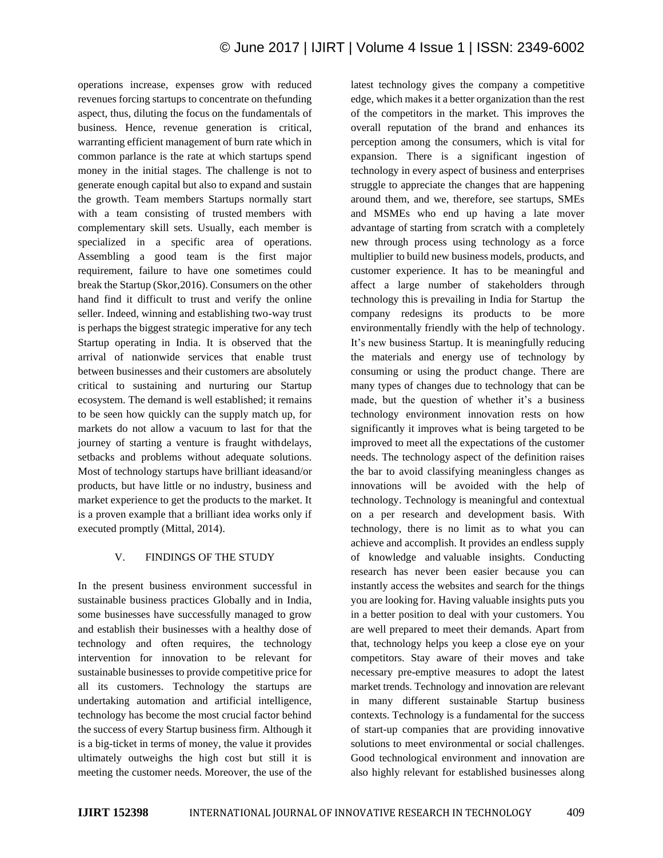operations increase, expenses grow with reduced revenues forcing startups to concentrate on thefunding aspect, thus, diluting the focus on the fundamentals of business. Hence, revenue generation is critical, warranting efficient management of burn rate which in common parlance is the rate at which startups spend money in the initial stages. The challenge is not to generate enough capital but also to expand and sustain the growth. Team members Startups normally start with a team consisting of trusted members with complementary skill sets. Usually, each member is specialized in a specific area of operations. Assembling a good team is the first major requirement, failure to have one sometimes could break the Startup (Skor,2016). Consumers on the other hand find it difficult to trust and verify the online seller. Indeed, winning and establishing two-way trust is perhaps the biggest strategic imperative for any tech Startup operating in India. It is observed that the arrival of nationwide services that enable trust between businesses and their customers are absolutely critical to sustaining and nurturing our Startup ecosystem. The demand is well established; it remains to be seen how quickly can the supply match up, for markets do not allow a vacuum to last for that the journey of starting a venture is fraught withdelays, setbacks and problems without adequate solutions. Most of technology startups have brilliant ideasand/or products, but have little or no industry, business and market experience to get the products to the market. It is a proven example that a brilliant idea works only if executed promptly (Mittal, 2014).

## V. FINDINGS OF THE STUDY

In the present business environment successful in sustainable business practices Globally and in India, some businesses have successfully managed to grow and establish their businesses with a healthy dose of technology and often requires, the technology intervention for innovation to be relevant for sustainable businesses to provide competitive price for all its customers. Technology the startups are undertaking automation and artificial intelligence, technology has become the most crucial factor behind the success of every Startup business firm. Although it is a big-ticket in terms of money, the value it provides ultimately outweighs the high cost but still it is meeting the customer needs. Moreover, the use of the latest technology gives the company a competitive edge, which makes it a better organization than the rest of the competitors in the market. This improves the overall reputation of the brand and enhances its perception among the consumers, which is vital for expansion. There is a significant ingestion of technology in every aspect of business and enterprises struggle to appreciate the changes that are happening around them, and we, therefore, see startups, SMEs and MSMEs who end up having a late mover advantage of starting from scratch with a completely new through process using technology as a force multiplier to build new business models, products, and customer experience. It has to be meaningful and affect a large number of stakeholders through technology this is prevailing in India for Startup the company redesigns its products to be more environmentally friendly with the help of technology. It's new business Startup. It is meaningfully reducing the materials and energy use of technology by consuming or using the product change. There are many types of changes due to technology that can be made, but the question of whether it's a business technology environment innovation rests on how significantly it improves what is being targeted to be improved to meet all the expectations of the customer needs. The technology aspect of the definition raises the bar to avoid classifying meaningless changes as innovations will be avoided with the help of technology. Technology is meaningful and contextual on a per research and development basis. With technology, there is no limit as to what you can achieve and accomplish. It provides an endless supply of knowledge and valuable insights. Conducting research has never been easier because you can instantly access the websites and search for the things you are looking for. Having valuable insights puts you in a better position to deal with your customers. You are well prepared to meet their demands. Apart from that, technology helps you keep a close eye on your competitors. Stay aware of their moves and take necessary pre-emptive measures to adopt the latest market trends. Technology and innovation are relevant in many different sustainable Startup business contexts. Technology is a fundamental for the success of start-up companies that are providing innovative solutions to meet environmental or social challenges. Good technological environment and innovation are also highly relevant for established businesses along